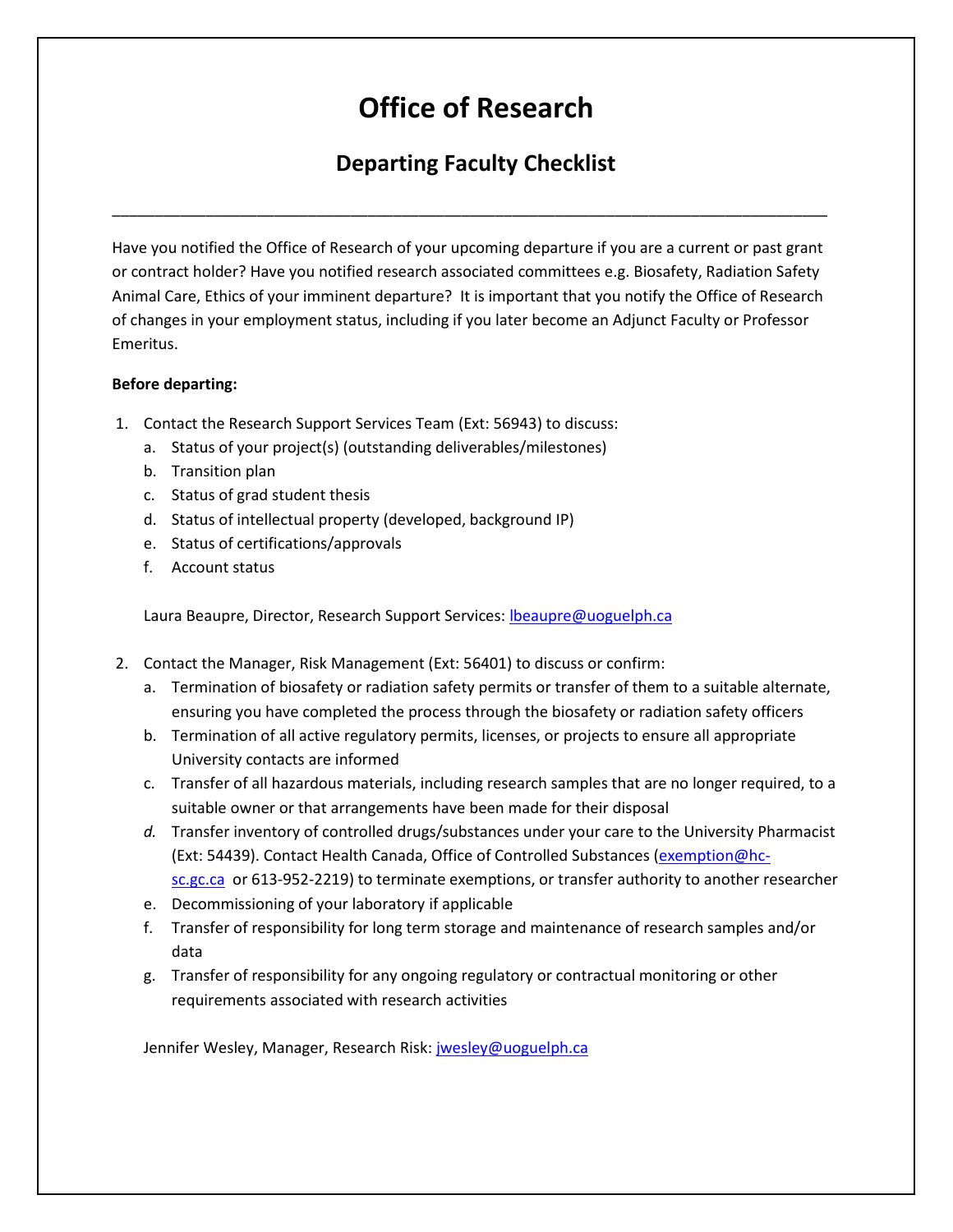## **Office of Research**

## **Departing Faculty Checklist**

\_\_\_\_\_\_\_\_\_\_\_\_\_\_\_\_\_\_\_\_\_\_\_\_\_\_\_\_\_\_\_\_\_\_\_\_\_\_\_\_\_\_\_\_\_\_\_\_\_\_\_\_\_\_\_\_\_\_\_\_\_\_\_\_\_\_\_\_\_\_\_\_\_\_\_\_\_\_\_\_\_\_\_\_

Have you notified the Office of Research of your upcoming departure if you are a current or past grant or contract holder? Have you notified research associated committees e.g. Biosafety, Radiation Safety Animal Care, Ethics of your imminent departure? It is important that you notify the Office of Research of changes in your employment status, including if you later become an Adjunct Faculty or Professor Emeritus.

## **Before departing:**

- 1. Contact the Research Support Services Team (Ext: 56943) to discuss:
	- a. Status of your project(s) (outstanding deliverables/milestones)
	- b. Transition plan
	- c. Status of grad student thesis
	- d. Status of intellectual property (developed, background IP)
	- e. Status of certifications/approvals
	- f. Account status

Laura Beaupre, Director, Research Support Services: [lbeaupre@uoguelph.ca](mailto:lbeaupre@uoguelph.ca)

- 2. Contact the Manager, Risk Management (Ext: 56401) to discuss or confirm:
	- a. Termination of biosafety or radiation safety permits or transfer of them to a suitable alternate, ensuring you have completed the process through the biosafety or radiation safety officers
	- b. Termination of all active regulatory permits, licenses, or projects to ensure all appropriate University contacts are informed
	- c. Transfer of all hazardous materials, including research samples that are no longer required, to a suitable owner or that arrangements have been made for their disposal
	- *d.* Transfer inventory of controlled drugs/substances under your care to the University Pharmacist (Ext: 54439). Contact Health Canada, Office of Controlled Substances [\(exemption@hc](mailto:exemption@hc-sc.gc.ca)[sc.gc.ca](mailto:exemption@hc-sc.gc.ca) o[r 613-952-2219\)](callto:+1613-952-2219) to terminate exemptions, or transfer authority to another researcher
	- e. Decommissioning of your laboratory if applicable
	- f. Transfer of responsibility for long term storage and maintenance of research samples and/or data
	- g. Transfer of responsibility for any ongoing regulatory or contractual monitoring or other requirements associated with research activities

Jennifer Wesley, Manager, Research Risk: [jwesley@uoguelph.ca](mailto:jwesley@uoguelph.ca)